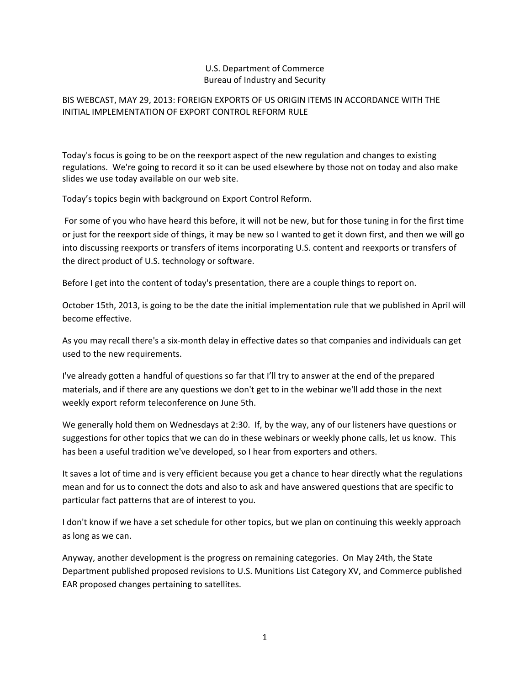# U.S. Department of Commerce Bureau of Industry and Security

# BIS WEBCAST, MAY 29, 2013: FOREIGN EXPORTS OF US ORIGIN ITEMS IN ACCORDANCE WITH THE INITIAL IMPLEMENTATION OF EXPORT CONTROL REFORM RULE

Today's focus is going to be on the reexport aspect of the new regulation and changes to existing regulations. We're going to record it so it can be used elsewhere by those not on today and also make slides we use today available on our web site.

Today's topics begin with background on Export Control Reform.

For some of you who have heard this before, it will not be new, but for those tuning in for the first time or just for the reexport side of things, it may be new so I wanted to get it down first, and then we will go into discussing reexports or transfers of items incorporating U.S. content and reexports or transfers of the direct product of U.S. technology or software.

Before I get into the content of today's presentation, there are a couple things to report on.

October 15th, 2013, is going to be the date the initial implementation rule that we published in April will become effective.

As you may recall there's a six‐month delay in effective dates so that companies and individuals can get used to the new requirements.

I've already gotten a handful of questions so far that I'll try to answer at the end of the prepared materials, and if there are any questions we don't get to in the webinar we'll add those in the next weekly export reform teleconference on June 5th.

We generally hold them on Wednesdays at 2:30. If, by the way, any of our listeners have questions or suggestions for other topics that we can do in these webinars or weekly phone calls, let us know. This has been a useful tradition we've developed, so I hear from exporters and others.

It saves a lot of time and is very efficient because you get a chance to hear directly what the regulations mean and for us to connect the dots and also to ask and have answered questions that are specific to particular fact patterns that are of interest to you.

I don't know if we have a set schedule for other topics, but we plan on continuing this weekly approach as long as we can.

Anyway, another development is the progress on remaining categories. On May 24th, the State Department published proposed revisions to U.S. Munitions List Category XV, and Commerce published EAR proposed changes pertaining to satellites.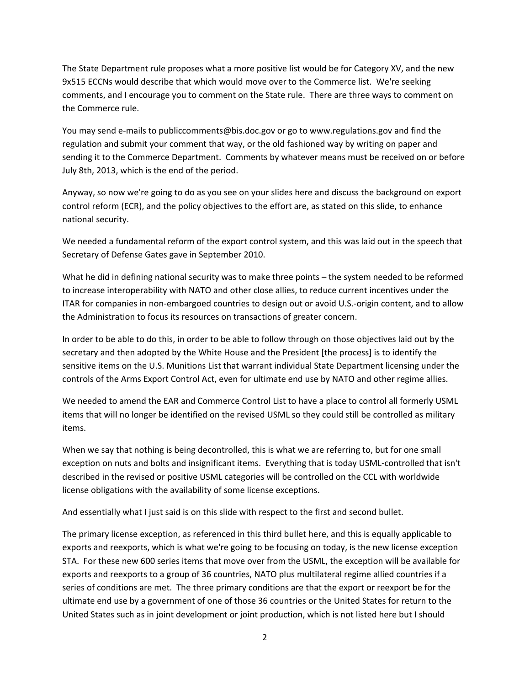The State Department rule proposes what a more positive list would be for Category XV, and the new 9x515 ECCNs would describe that which would move over to the Commerce list. We're seeking comments, and I encourage you to comment on the State rule. There are three ways to comment on the Commerce rule.

You may send e-mails to publiccomments@bis.doc.gov or go to www.regulations.gov and find the regulation and submit your comment that way, or the old fashioned way by writing on paper and sending it to the Commerce Department. Comments by whatever means must be received on or before July 8th, 2013, which is the end of the period.

Anyway, so now we're going to do as you see on your slides here and discuss the background on export control reform (ECR), and the policy objectives to the effort are, as stated on this slide, to enhance national security.

We needed a fundamental reform of the export control system, and this was laid out in the speech that Secretary of Defense Gates gave in September 2010.

What he did in defining national security was to make three points – the system needed to be reformed to increase interoperability with NATO and other close allies, to reduce current incentives under the ITAR for companies in non‐embargoed countries to design out or avoid U.S.‐origin content, and to allow the Administration to focus its resources on transactions of greater concern.

In order to be able to do this, in order to be able to follow through on those objectives laid out by the secretary and then adopted by the White House and the President [the process] is to identify the sensitive items on the U.S. Munitions List that warrant individual State Department licensing under the controls of the Arms Export Control Act, even for ultimate end use by NATO and other regime allies.

We needed to amend the EAR and Commerce Control List to have a place to control all formerly USML items that will no longer be identified on the revised USML so they could still be controlled as military items.

When we say that nothing is being decontrolled, this is what we are referring to, but for one small exception on nuts and bolts and insignificant items. Everything that is today USML‐controlled that isn't described in the revised or positive USML categories will be controlled on the CCL with worldwide license obligations with the availability of some license exceptions.

And essentially what I just said is on this slide with respect to the first and second bullet.

The primary license exception, as referenced in this third bullet here, and this is equally applicable to exports and reexports, which is what we're going to be focusing on today, is the new license exception STA. For these new 600 series items that move over from the USML, the exception will be available for exports and reexports to a group of 36 countries, NATO plus multilateral regime allied countries if a series of conditions are met. The three primary conditions are that the export or reexport be for the ultimate end use by a government of one of those 36 countries or the United States for return to the United States such as in joint development or joint production, which is not listed here but I should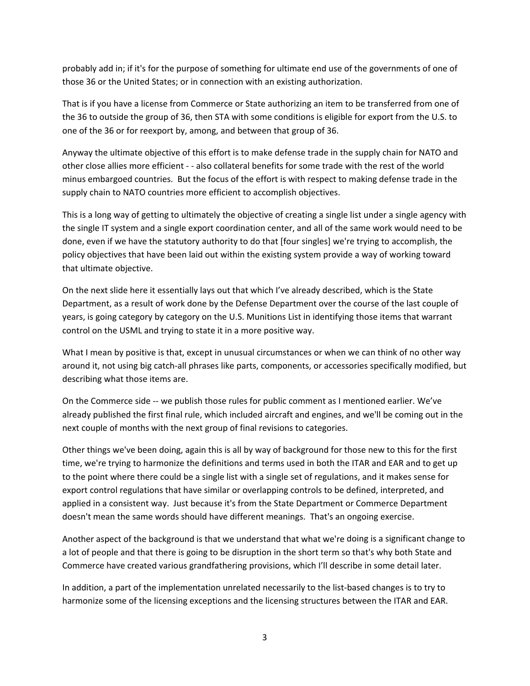probably add in; if it's for the purpose of something for ultimate end use of the governments of one of those 36 or the United States; or in connection with an existing authorization.

That is if you have a license from Commerce or State authorizing an item to be transferred from one of the 36 to outside the group of 36, then STA with some conditions is eligible for export from the U.S. to one of the 36 or for reexport by, among, and between that group of 36.

Anyway the ultimate objective of this effort is to make defense trade in the supply chain for NATO and other close allies more efficient ‐ ‐ also collateral benefits for some trade with the rest of the world minus embargoed countries. But the focus of the effort is with respect to making defense trade in the supply chain to NATO countries more efficient to accomplish objectives.

This is a long way of getting to ultimately the objective of creating a single list under a single agency with the single IT system and a single export coordination center, and all of the same work would need to be done, even if we have the statutory authority to do that [four singles] we're trying to accomplish, the policy objectives that have been laid out within the existing system provide a way of working toward that ultimate objective.

On the next slide here it essentially lays out that which I've already described, which is the State Department, as a result of work done by the Defense Department over the course of the last couple of years, is going category by category on the U.S. Munitions List in identifying those items that warrant control on the USML and trying to state it in a more positive way.

What I mean by positive is that, except in unusual circumstances or when we can think of no other way around it, not using big catch‐all phrases like parts, components, or accessories specifically modified, but describing what those items are.

On the Commerce side -- we publish those rules for public comment as I mentioned earlier. We've already published the first final rule, which included aircraft and engines, and we'll be coming out in the next couple of months with the next group of final revisions to categories.

Other things we've been doing, again this is all by way of background for those new to this for the first time, we're trying to harmonize the definitions and terms used in both the ITAR and EAR and to get up to the point where there could be a single list with a single set of regulations, and it makes sense for export control regulations that have similar or overlapping controls to be defined, interpreted, and applied in a consistent way. Just because it's from the State Department or Commerce Department doesn't mean the same words should have different meanings. That's an ongoing exercise.

Another aspect of the background is that we understand that what we're doing is a significant change to a lot of people and that there is going to be disruption in the short term so that's why both State and Commerce have created various grandfathering provisions, which I'll describe in some detail later.

In addition, a part of the implementation unrelated necessarily to the list‐based changes is to try to harmonize some of the licensing exceptions and the licensing structures between the ITAR and EAR.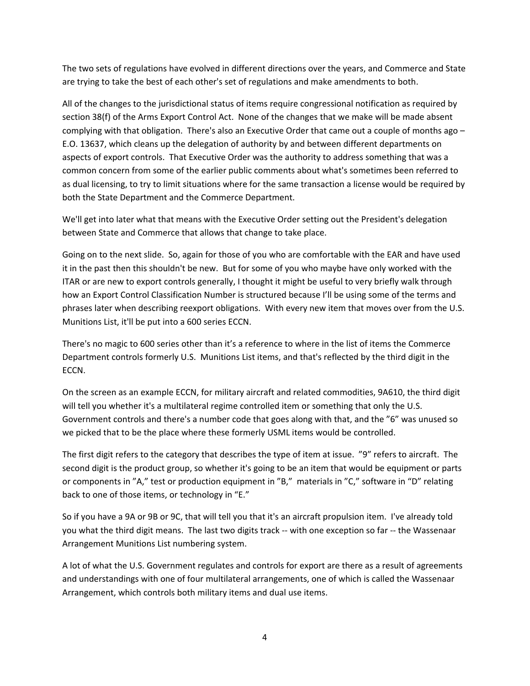The two sets of regulations have evolved in different directions over the years, and Commerce and State are trying to take the best of each other's set of regulations and make amendments to both.

All of the changes to the jurisdictional status of items require congressional notification as required by section 38(f) of the Arms Export Control Act. None of the changes that we make will be made absent complying with that obligation. There's also an Executive Order that came out a couple of months ago – E.O. 13637, which cleans up the delegation of authority by and between different departments on aspects of export controls. That Executive Order was the authority to address something that was a common concern from some of the earlier public comments about what's sometimes been referred to as dual licensing, to try to limit situations where for the same transaction a license would be required by both the State Department and the Commerce Department.

We'll get into later what that means with the Executive Order setting out the President's delegation between State and Commerce that allows that change to take place.

Going on to the next slide. So, again for those of you who are comfortable with the EAR and have used it in the past then this shouldn't be new. But for some of you who maybe have only worked with the ITAR or are new to export controls generally, I thought it might be useful to very briefly walk through how an Export Control Classification Number is structured because I'll be using some of the terms and phrases later when describing reexport obligations. With every new item that moves over from the U.S. Munitions List, it'll be put into a 600 series ECCN.

There's no magic to 600 series other than it's a reference to where in the list of items the Commerce Department controls formerly U.S. Munitions List items, and that's reflected by the third digit in the ECCN.

On the screen as an example ECCN, for military aircraft and related commodities, 9A610, the third digit will tell you whether it's a multilateral regime controlled item or something that only the U.S. Government controls and there's a number code that goes along with that, and the "6" was unused so we picked that to be the place where these formerly USML items would be controlled.

The first digit refers to the category that describes the type of item at issue. "9" refers to aircraft. The second digit is the product group, so whether it's going to be an item that would be equipment or parts or components in "A," test or production equipment in "B," materials in "C," software in "D" relating back to one of those items, or technology in "E."

So if you have a 9A or 9B or 9C, that will tell you that it's an aircraft propulsion item. I've already told you what the third digit means. The last two digits track -- with one exception so far -- the Wassenaar Arrangement Munitions List numbering system.

A lot of what the U.S. Government regulates and controls for export are there as a result of agreements and understandings with one of four multilateral arrangements, one of which is called the Wassenaar Arrangement, which controls both military items and dual use items.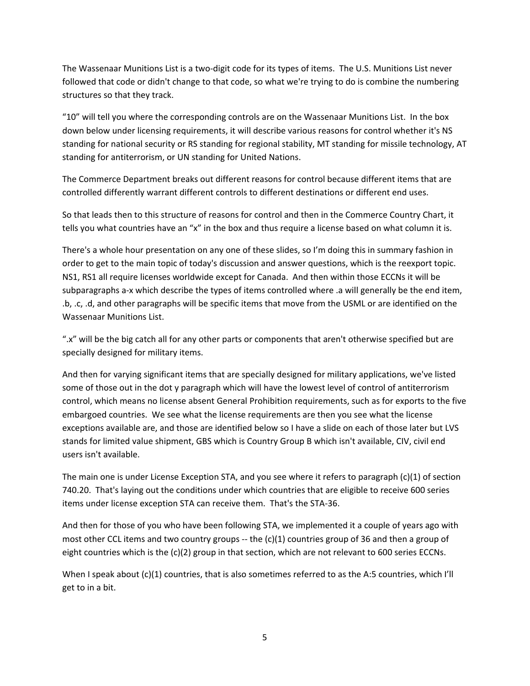The Wassenaar Munitions List is a two‐digit code for its types of items. The U.S. Munitions List never followed that code or didn't change to that code, so what we're trying to do is combine the numbering structures so that they track.

"10" will tell you where the corresponding controls are on the Wassenaar Munitions List. In the box down below under licensing requirements, it will describe various reasons for control whether it's NS standing for national security or RS standing for regional stability, MT standing for missile technology, AT standing for antiterrorism, or UN standing for United Nations.

The Commerce Department breaks out different reasons for control because different items that are controlled differently warrant different controls to different destinations or different end uses.

So that leads then to this structure of reasons for control and then in the Commerce Country Chart, it tells you what countries have an "x" in the box and thus require a license based on what column it is.

There's a whole hour presentation on any one of these slides, so I'm doing this in summary fashion in order to get to the main topic of today's discussion and answer questions, which is the reexport topic. NS1, RS1 all require licenses worldwide except for Canada. And then within those ECCNs it will be subparagraphs a‐x which describe the types of items controlled where .a will generally be the end item, .b, .c, .d, and other paragraphs will be specific items that move from the USML or are identified on the Wassenaar Munitions List.

".x" will be the big catch all for any other parts or components that aren't otherwise specified but are specially designed for military items.

And then for varying significant items that are specially designed for military applications, we've listed some of those out in the dot y paragraph which will have the lowest level of control of antiterrorism control, which means no license absent General Prohibition requirements, such as for exports to the five embargoed countries. We see what the license requirements are then you see what the license exceptions available are, and those are identified below so I have a slide on each of those later but LVS stands for limited value shipment, GBS which is Country Group B which isn't available, CIV, civil end users isn't available.

The main one is under License Exception STA, and you see where it refers to paragraph (c)(1) of section 740.20. That's laying out the conditions under which countries that are eligible to receive 600 series items under license exception STA can receive them. That's the STA‐36.

And then for those of you who have been following STA, we implemented it a couple of years ago with most other CCL items and two country groups -- the  $(c)(1)$  countries group of 36 and then a group of eight countries which is the (c)(2) group in that section, which are not relevant to 600 series ECCNs.

When I speak about (c)(1) countries, that is also sometimes referred to as the A:5 countries, which I'll get to in a bit.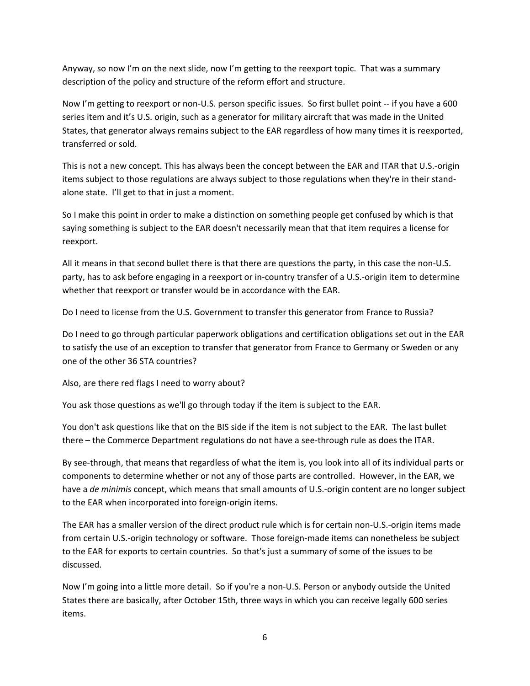Anyway, so now I'm on the next slide, now I'm getting to the reexport topic. That was a summary description of the policy and structure of the reform effort and structure.

Now I'm getting to reexport or non‐U.S. person specific issues. So first bullet point ‐‐ if you have a 600 series item and it's U.S. origin, such as a generator for military aircraft that was made in the United States, that generator always remains subject to the EAR regardless of how many times it is reexported, transferred or sold.

This is not a new concept. This has always been the concept between the EAR and ITAR that U.S.‐origin items subject to those regulations are always subject to those regulations when they're in their stand‐ alone state. I'll get to that in just a moment.

So I make this point in order to make a distinction on something people get confused by which is that saying something is subject to the EAR doesn't necessarily mean that that item requires a license for reexport.

All it means in that second bullet there is that there are questions the party, in this case the non‐U.S. party, has to ask before engaging in a reexport or in‐country transfer of a U.S.‐origin item to determine whether that reexport or transfer would be in accordance with the EAR.

Do I need to license from the U.S. Government to transfer this generator from France to Russia?

Do I need to go through particular paperwork obligations and certification obligations set out in the EAR to satisfy the use of an exception to transfer that generator from France to Germany or Sweden or any one of the other 36 STA countries?

Also, are there red flags I need to worry about?

You ask those questions as we'll go through today if the item is subject to the EAR.

You don't ask questions like that on the BIS side if the item is not subject to the EAR. The last bullet there – the Commerce Department regulations do not have a see‐through rule as does the ITAR.

By see‐through, that means that regardless of what the item is, you look into all of its individual parts or components to determine whether or not any of those parts are controlled. However, in the EAR, we have a *de minimis* concept, which means that small amounts of U.S.‐origin content are no longer subject to the EAR when incorporated into foreign‐origin items.

The EAR has a smaller version of the direct product rule which is for certain non‐U.S.‐origin items made from certain U.S.-origin technology or software. Those foreign-made items can nonetheless be subject to the EAR for exports to certain countries. So that's just a summary of some of the issues to be discussed.

Now I'm going into a little more detail. So if you're a non‐U.S. Person or anybody outside the United States there are basically, after October 15th, three ways in which you can receive legally 600 series items.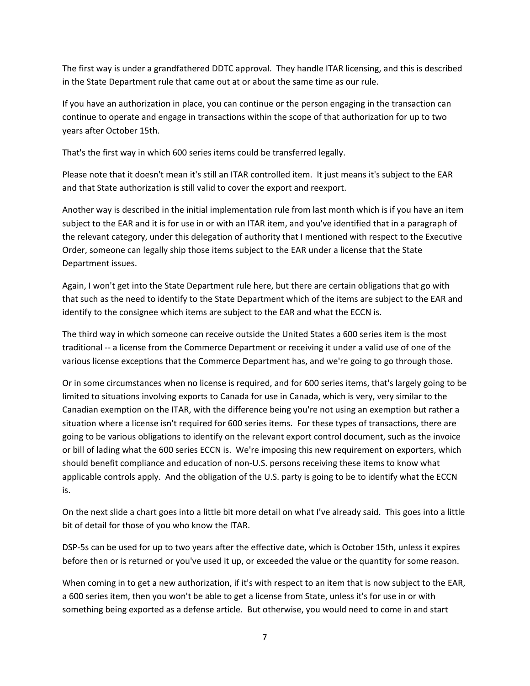The first way is under a grandfathered DDTC approval. They handle ITAR licensing, and this is described in the State Department rule that came out at or about the same time as our rule.

If you have an authorization in place, you can continue or the person engaging in the transaction can continue to operate and engage in transactions within the scope of that authorization for up to two years after October 15th.

That's the first way in which 600 series items could be transferred legally.

Please note that it doesn't mean it's still an ITAR controlled item. It just means it's subject to the EAR and that State authorization is still valid to cover the export and reexport.

Another way is described in the initial implementation rule from last month which is if you have an item subject to the EAR and it is for use in or with an ITAR item, and you've identified that in a paragraph of the relevant category, under this delegation of authority that I mentioned with respect to the Executive Order, someone can legally ship those items subject to the EAR under a license that the State Department issues.

Again, I won't get into the State Department rule here, but there are certain obligations that go with that such as the need to identify to the State Department which of the items are subject to the EAR and identify to the consignee which items are subject to the EAR and what the ECCN is.

The third way in which someone can receive outside the United States a 600 series item is the most traditional ‐‐ a license from the Commerce Department or receiving it under a valid use of one of the various license exceptions that the Commerce Department has, and we're going to go through those.

Or in some circumstances when no license is required, and for 600 series items, that's largely going to be limited to situations involving exports to Canada for use in Canada, which is very, very similar to the Canadian exemption on the ITAR, with the difference being you're not using an exemption but rather a situation where a license isn't required for 600 series items. For these types of transactions, there are going to be various obligations to identify on the relevant export control document, such as the invoice or bill of lading what the 600 series ECCN is. We're imposing this new requirement on exporters, which should benefit compliance and education of non‐U.S. persons receiving these items to know what applicable controls apply. And the obligation of the U.S. party is going to be to identify what the ECCN is.

On the next slide a chart goes into a little bit more detail on what I've already said. This goes into a little bit of detail for those of you who know the ITAR.

DSP‐5s can be used for up to two years after the effective date, which is October 15th, unless it expires before then or is returned or you've used it up, or exceeded the value or the quantity for some reason.

When coming in to get a new authorization, if it's with respect to an item that is now subject to the EAR, a 600 series item, then you won't be able to get a license from State, unless it's for use in or with something being exported as a defense article. But otherwise, you would need to come in and start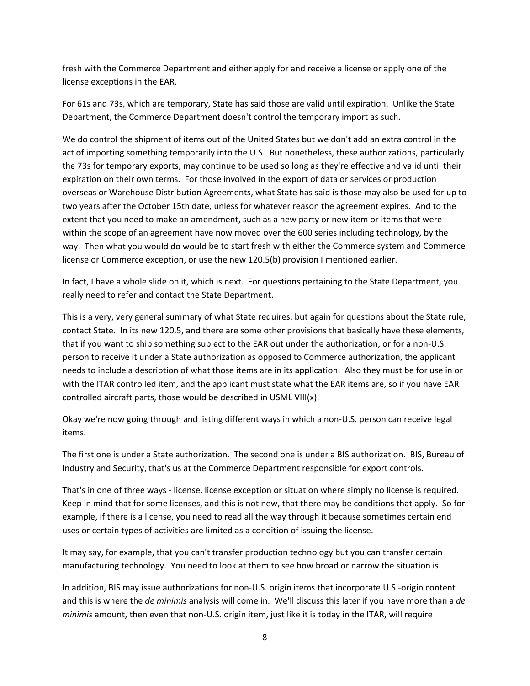fresh with the Commerce Department and either apply for and receive a license or apply one of the license exceptions in the EAR.

For 61s and 73s, which are temporary, State has said those are valid until expiration. Unlike the State Department, the Commerce Department doesn't control the temporary import as such.

We do control the shipment of items out of the United States but we don't add an extra control in the act of importing something temporarily into the U.S. But nonetheless, these authorizations, particularly the 73s for temporary exports, may continue to be used so long as they're effective and valid until their expiration on their own terms. For those involved in the export of data or services or production overseas or Warehouse Distribution Agreements, what State has said is those may also be used for up to two years after the October 15th date, unless for whatever reason the agreement expires. And to the extent that you need to make an amendment, such as a new party or new item or items that were within the scope of an agreement have now moved over the 600 series including technology, by the way. Then what you would do would be to start fresh with either the Commerce system and Commerce license or Commerce exception, or use the new 120.5(b) provision I mentioned earlier.

In fact, I have a whole slide on it, which is next. For questions pertaining to the State Department, you really need to refer and contact the State Department.

This is a very, very general summary of what State requires, but again for questions about the State rule, contact State. In its new 120.5, and there are some other provisions that basically have these elements, that if you want to ship something subject to the EAR out under the authorization, or for a non‐U.S. person to receive it under a State authorization as opposed to Commerce authorization, the applicant needs to include a description of what those items are in its application. Also they must be for use in or with the ITAR controlled item, and the applicant must state what the EAR items are, so if you have EAR controlled aircraft parts, those would be described in USML VIII(x).

Okay we're now going through and listing different ways in which a non‐U.S. person can receive legal items.

The first one is under a State authorization. The second one is under a BIS authorization. BIS, Bureau of Industry and Security, that's us at the Commerce Department responsible for export controls.

That's in one of three ways ‐ license, license exception or situation where simply no license is required. Keep in mind that for some licenses, and this is not new, that there may be conditions that apply. So for example, if there is a license, you need to read all the way through it because sometimes certain end uses or certain types of activities are limited as a condition of issuing the license.

It may say, for example, that you can't transfer production technology but you can transfer certain manufacturing technology. You need to look at them to see how broad or narrow the situation is.

In addition, BIS may issue authorizations for non‐U.S. origin items that incorporate U.S.‐origin content and this is where the *de minimis* analysis will come in. We'll discuss this later if you have more than a *de minimis* amount, then even that non‐U.S. origin item, just like it is today in the ITAR, will require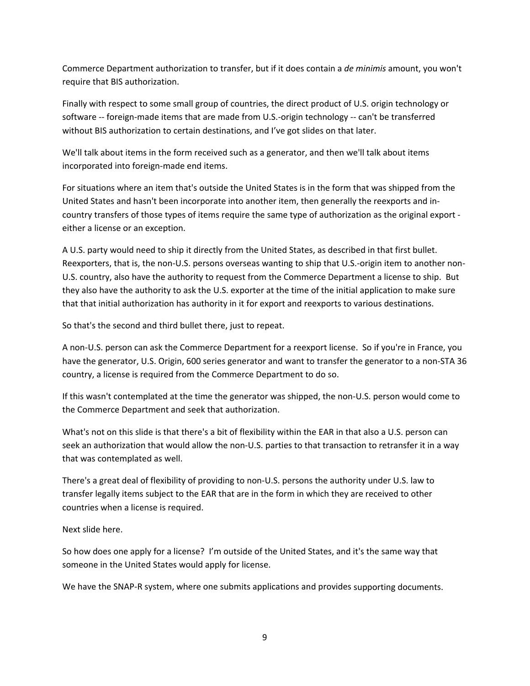Commerce Department authorization to transfer, but if it does contain a *de minimis* amount, you won't require that BIS authorization.

Finally with respect to some small group of countries, the direct product of U.S. origin technology or software ‐‐ foreign‐made items that are made from U.S.‐origin technology ‐‐ can't be transferred without BIS authorization to certain destinations, and I've got slides on that later.

We'll talk about items in the form received such as a generator, and then we'll talk about items incorporated into foreign‐made end items.

For situations where an item that's outside the United States is in the form that was shipped from the United States and hasn't been incorporate into another item, then generally the reexports and in‐ country transfers of those types of items require the same type of authorization as the original export ‐ either a license or an exception.

A U.S. party would need to ship it directly from the United States, as described in that first bullet. Reexporters, that is, the non-U.S. persons overseas wanting to ship that U.S.-origin item to another non-U.S. country, also have the authority to request from the Commerce Department a license to ship. But they also have the authority to ask the U.S. exporter at the time of the initial application to make sure that that initial authorization has authority in it for export and reexports to various destinations.

So that's the second and third bullet there, just to repeat.

A non‐U.S. person can ask the Commerce Department for a reexport license. So if you're in France, you have the generator, U.S. Origin, 600 series generator and want to transfer the generator to a non-STA 36 country, a license is required from the Commerce Department to do so.

If this wasn't contemplated at the time the generator was shipped, the non‐U.S. person would come to the Commerce Department and seek that authorization.

What's not on this slide is that there's a bit of flexibility within the EAR in that also a U.S. person can seek an authorization that would allow the non‐U.S. parties to that transaction to retransfer it in a way that was contemplated as well.

There's a great deal of flexibility of providing to non‐U.S. persons the authority under U.S. law to transfer legally items subject to the EAR that are in the form in which they are received to other countries when a license is required.

Next slide here.

So how does one apply for a license? I'm outside of the United States, and it's the same way that someone in the United States would apply for license.

We have the SNAP-R system, where one submits applications and provides supporting documents.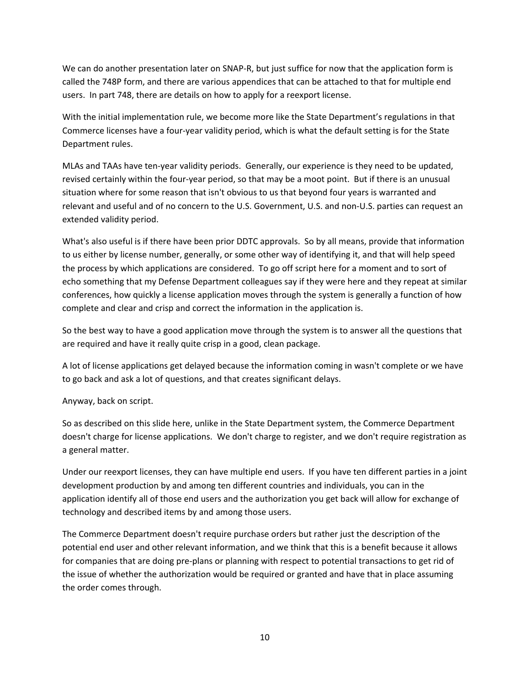We can do another presentation later on SNAP-R, but just suffice for now that the application form is called the 748P form, and there are various appendices that can be attached to that for multiple end users. In part 748, there are details on how to apply for a reexport license.

With the initial implementation rule, we become more like the State Department's regulations in that Commerce licenses have a four‐year validity period, which is what the default setting is for the State Department rules.

MLAs and TAAs have ten‐year validity periods. Generally, our experience is they need to be updated, revised certainly within the four‐year period, so that may be a moot point. But if there is an unusual situation where for some reason that isn't obvious to us that beyond four years is warranted and relevant and useful and of no concern to the U.S. Government, U.S. and non‐U.S. parties can request an extended validity period.

What's also useful is if there have been prior DDTC approvals. So by all means, provide that information to us either by license number, generally, or some other way of identifying it, and that will help speed the process by which applications are considered. To go off script here for a moment and to sort of echo something that my Defense Department colleagues say if they were here and they repeat at similar conferences, how quickly a license application moves through the system is generally a function of how complete and clear and crisp and correct the information in the application is.

So the best way to have a good application move through the system is to answer all the questions that are required and have it really quite crisp in a good, clean package.

A lot of license applications get delayed because the information coming in wasn't complete or we have to go back and ask a lot of questions, and that creates significant delays.

# Anyway, back on script.

So as described on this slide here, unlike in the State Department system, the Commerce Department doesn't charge for license applications. We don't charge to register, and we don't require registration as a general matter.

Under our reexport licenses, they can have multiple end users. If you have ten different parties in a joint development production by and among ten different countries and individuals, you can in the application identify all of those end users and the authorization you get back will allow for exchange of technology and described items by and among those users.

The Commerce Department doesn't require purchase orders but rather just the description of the potential end user and other relevant information, and we think that this is a benefit because it allows for companies that are doing pre-plans or planning with respect to potential transactions to get rid of the issue of whether the authorization would be required or granted and have that in place assuming the order comes through.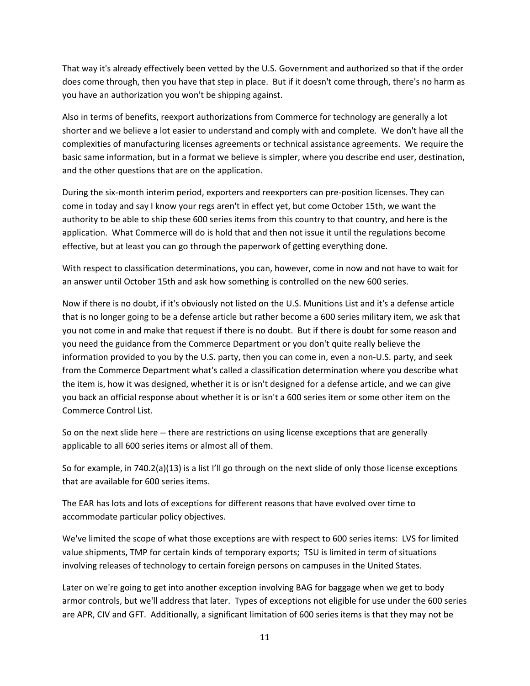That way it's already effectively been vetted by the U.S. Government and authorized so that if the order does come through, then you have that step in place. But if it doesn't come through, there's no harm as you have an authorization you won't be shipping against.

Also in terms of benefits, reexport authorizations from Commerce for technology are generally a lot shorter and we believe a lot easier to understand and comply with and complete. We don't have all the complexities of manufacturing licenses agreements or technical assistance agreements. We require the basic same information, but in a format we believe is simpler, where you describe end user, destination, and the other questions that are on the application.

During the six‐month interim period, exporters and reexporters can pre‐position licenses. They can come in today and say I know your regs aren't in effect yet, but come October 15th, we want the authority to be able to ship these 600 series items from this country to that country, and here is the application. What Commerce will do is hold that and then not issue it until the regulations become effective, but at least you can go through the paperwork of getting everything done.

With respect to classification determinations, you can, however, come in now and not have to wait for an answer until October 15th and ask how something is controlled on the new 600 series.

Now if there is no doubt, if it's obviously not listed on the U.S. Munitions List and it's a defense article that is no longer going to be a defense article but rather become a 600 series military item, we ask that you not come in and make that request if there is no doubt. But if there is doubt for some reason and you need the guidance from the Commerce Department or you don't quite really believe the information provided to you by the U.S. party, then you can come in, even a non‐U.S. party, and seek from the Commerce Department what's called a classification determination where you describe what the item is, how it was designed, whether it is or isn't designed for a defense article, and we can give you back an official response about whether it is or isn't a 600 series item or some other item on the Commerce Control List.

So on the next slide here -- there are restrictions on using license exceptions that are generally applicable to all 600 series items or almost all of them.

So for example, in 740.2(a)(13) is a list I'll go through on the next slide of only those license exceptions that are available for 600 series items.

The EAR has lots and lots of exceptions for different reasons that have evolved over time to accommodate particular policy objectives.

We've limited the scope of what those exceptions are with respect to 600 series items: LVS for limited value shipments, TMP for certain kinds of temporary exports; TSU is limited in term of situations involving releases of technology to certain foreign persons on campuses in the United States.

Later on we're going to get into another exception involving BAG for baggage when we get to body armor controls, but we'll address that later. Types of exceptions not eligible for use under the 600 series are APR, CIV and GFT. Additionally, a significant limitation of 600 series items is that they may not be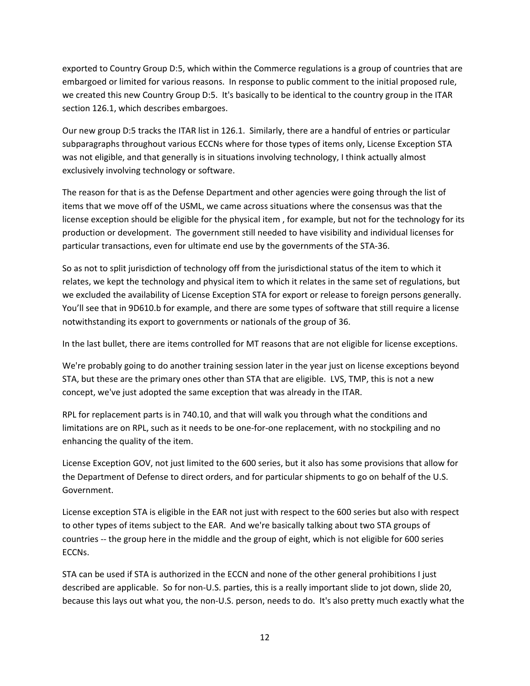exported to Country Group D:5, which within the Commerce regulations is a group of countries that are embargoed or limited for various reasons. In response to public comment to the initial proposed rule, we created this new Country Group D:5. It's basically to be identical to the country group in the ITAR section 126.1, which describes embargoes.

Our new group D:5 tracks the ITAR list in 126.1. Similarly, there are a handful of entries or particular subparagraphs throughout various ECCNs where for those types of items only, License Exception STA was not eligible, and that generally is in situations involving technology, I think actually almost exclusively involving technology or software.

The reason for that is as the Defense Department and other agencies were going through the list of items that we move off of the USML, we came across situations where the consensus was that the license exception should be eligible for the physical item , for example, but not for the technology for its production or development. The government still needed to have visibility and individual licenses for particular transactions, even for ultimate end use by the governments of the STA‐36.

So as not to split jurisdiction of technology off from the jurisdictional status of the item to which it relates, we kept the technology and physical item to which it relates in the same set of regulations, but we excluded the availability of License Exception STA for export or release to foreign persons generally. You'll see that in 9D610.b for example, and there are some types of software that still require a license notwithstanding its export to governments or nationals of the group of 36.

In the last bullet, there are items controlled for MT reasons that are not eligible for license exceptions.

We're probably going to do another training session later in the year just on license exceptions beyond STA, but these are the primary ones other than STA that are eligible. LVS, TMP, this is not a new concept, we've just adopted the same exception that was already in the ITAR.

RPL for replacement parts is in 740.10, and that will walk you through what the conditions and limitations are on RPL, such as it needs to be one‐for‐one replacement, with no stockpiling and no enhancing the quality of the item.

License Exception GOV, not just limited to the 600 series, but it also has some provisions that allow for the Department of Defense to direct orders, and for particular shipments to go on behalf of the U.S. Government.

License exception STA is eligible in the EAR not just with respect to the 600 series but also with respect to other types of items subject to the EAR. And we're basically talking about two STA groups of countries ‐‐ the group here in the middle and the group of eight, which is not eligible for 600 series ECCNs.

STA can be used if STA is authorized in the ECCN and none of the other general prohibitions I just described are applicable. So for non‐U.S. parties, this is a really important slide to jot down, slide 20, because this lays out what you, the non‐U.S. person, needs to do. It's also pretty much exactly what the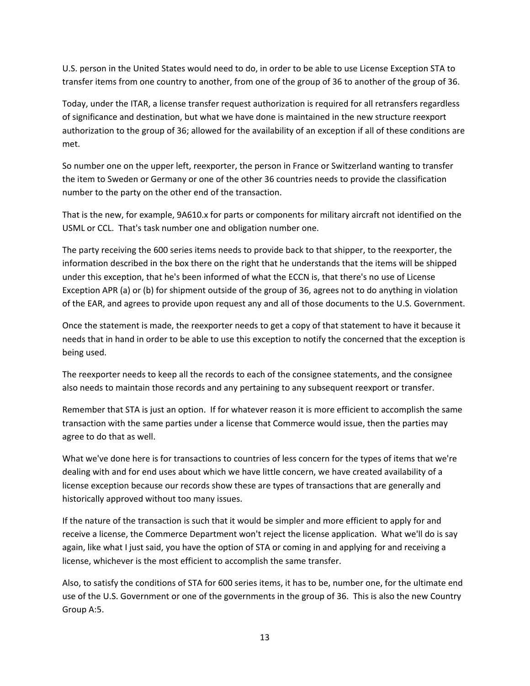U.S. person in the United States would need to do, in order to be able to use License Exception STA to transfer items from one country to another, from one of the group of 36 to another of the group of 36.

Today, under the ITAR, a license transfer request authorization is required for all retransfers regardless of significance and destination, but what we have done is maintained in the new structure reexport authorization to the group of 36; allowed for the availability of an exception if all of these conditions are met.

So number one on the upper left, reexporter, the person in France or Switzerland wanting to transfer the item to Sweden or Germany or one of the other 36 countries needs to provide the classification number to the party on the other end of the transaction.

That is the new, for example, 9A610.x for parts or components for military aircraft not identified on the USML or CCL. That's task number one and obligation number one.

The party receiving the 600 series items needs to provide back to that shipper, to the reexporter, the information described in the box there on the right that he understands that the items will be shipped under this exception, that he's been informed of what the ECCN is, that there's no use of License Exception APR (a) or (b) for shipment outside of the group of 36, agrees not to do anything in violation of the EAR, and agrees to provide upon request any and all of those documents to the U.S. Government.

Once the statement is made, the reexporter needs to get a copy of that statement to have it because it needs that in hand in order to be able to use this exception to notify the concerned that the exception is being used.

The reexporter needs to keep all the records to each of the consignee statements, and the consignee also needs to maintain those records and any pertaining to any subsequent reexport or transfer.

Remember that STA is just an option. If for whatever reason it is more efficient to accomplish the same transaction with the same parties under a license that Commerce would issue, then the parties may agree to do that as well.

What we've done here is for transactions to countries of less concern for the types of items that we're dealing with and for end uses about which we have little concern, we have created availability of a license exception because our records show these are types of transactions that are generally and historically approved without too many issues.

If the nature of the transaction is such that it would be simpler and more efficient to apply for and receive a license, the Commerce Department won't reject the license application. What we'll do is say again, like what I just said, you have the option of STA or coming in and applying for and receiving a license, whichever is the most efficient to accomplish the same transfer.

Also, to satisfy the conditions of STA for 600 series items, it has to be, number one, for the ultimate end use of the U.S. Government or one of the governments in the group of 36. This is also the new Country Group A:5.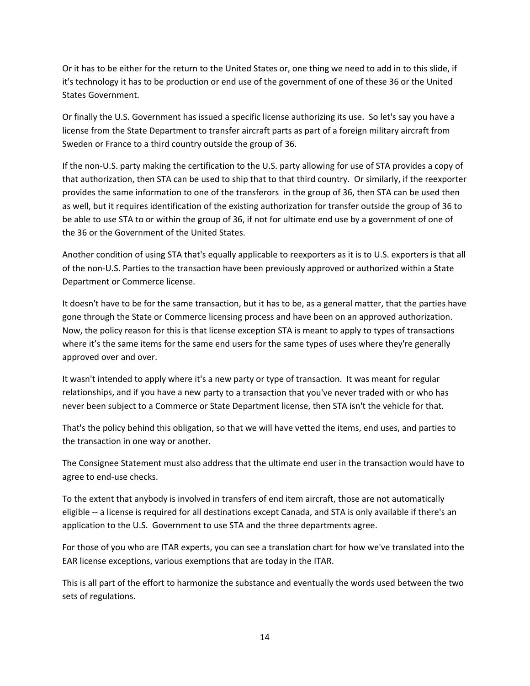Or it has to be either for the return to the United States or, one thing we need to add in to this slide, if it's technology it has to be production or end use of the government of one of these 36 or the United States Government.

Or finally the U.S. Government has issued a specific license authorizing its use. So let's say you have a license from the State Department to transfer aircraft parts as part of a foreign military aircraft from Sweden or France to a third country outside the group of 36.

If the non‐U.S. party making the certification to the U.S. party allowing for use of STA provides a copy of that authorization, then STA can be used to ship that to that third country. Or similarly, if the reexporter provides the same information to one of the transferors in the group of 36, then STA can be used then as well, but it requires identification of the existing authorization for transfer outside the group of 36 to be able to use STA to or within the group of 36, if not for ultimate end use by a government of one of the 36 or the Government of the United States.

Another condition of using STA that's equally applicable to reexporters as it is to U.S. exporters is that all of the non‐U.S. Parties to the transaction have been previously approved or authorized within a State Department or Commerce license.

It doesn't have to be for the same transaction, but it has to be, as a general matter, that the parties have gone through the State or Commerce licensing process and have been on an approved authorization. Now, the policy reason for this is that license exception STA is meant to apply to types of transactions where it's the same items for the same end users for the same types of uses where they're generally approved over and over.

It wasn't intended to apply where it's a new party or type of transaction. It was meant for regular relationships, and if you have a new party to a transaction that you've never traded with or who has never been subject to a Commerce or State Department license, then STA isn't the vehicle for that.

That's the policy behind this obligation, so that we will have vetted the items, end uses, and parties to the transaction in one way or another.

The Consignee Statement must also address that the ultimate end user in the transaction would have to agree to end‐use checks.

To the extent that anybody is involved in transfers of end item aircraft, those are not automatically eligible ‐‐ a license is required for all destinations except Canada, and STA is only available if there's an application to the U.S. Government to use STA and the three departments agree.

For those of you who are ITAR experts, you can see a translation chart for how we've translated into the EAR license exceptions, various exemptions that are today in the ITAR.

This is all part of the effort to harmonize the substance and eventually the words used between the two sets of regulations.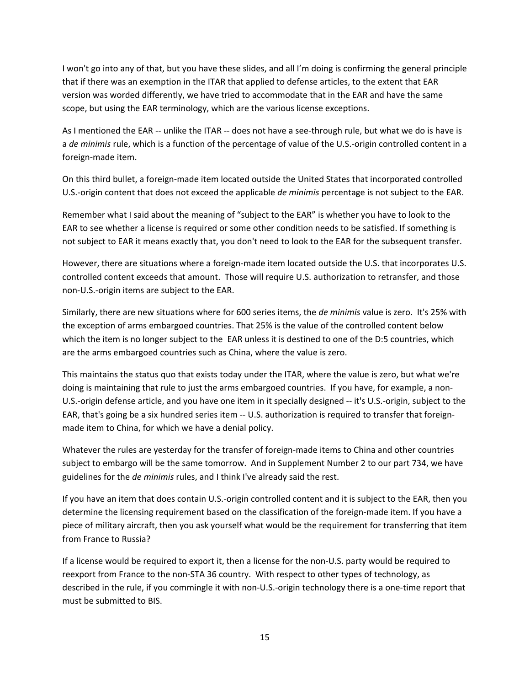I won't go into any of that, but you have these slides, and all I'm doing is confirming the general principle that if there was an exemption in the ITAR that applied to defense articles, to the extent that EAR version was worded differently, we have tried to accommodate that in the EAR and have the same scope, but using the EAR terminology, which are the various license exceptions.

As I mentioned the EAR -- unlike the ITAR -- does not have a see-through rule, but what we do is have is a *de minimis* rule, which is a function of the percentage of value of the U.S.‐origin controlled content in a foreign‐made item.

On this third bullet, a foreign‐made item located outside the United States that incorporated controlled U.S.‐origin content that does not exceed the applicable *de minimis* percentage is not subject to the EAR.

Remember what I said about the meaning of "subject to the EAR" is whether you have to look to the EAR to see whether a license is required or some other condition needs to be satisfied. If something is not subject to EAR it means exactly that, you don't need to look to the EAR for the subsequent transfer.

However, there are situations where a foreign-made item located outside the U.S. that incorporates U.S. controlled content exceeds that amount. Those will require U.S. authorization to retransfer, and those non‐U.S.‐origin items are subject to the EAR.

Similarly, there are new situations where for 600 series items, the *de minimis* value is zero. It's 25% with the exception of arms embargoed countries. That 25% is the value of the controlled content below which the item is no longer subject to the EAR unless it is destined to one of the D:5 countries, which are the arms embargoed countries such as China, where the value is zero.

This maintains the status quo that exists today under the ITAR, where the value is zero, but what we're doing is maintaining that rule to just the arms embargoed countries. If you have, for example, a non‐ U.S.‐origin defense article, and you have one item in it specially designed ‐‐ it's U.S.‐origin, subject to the EAR, that's going be a six hundred series item ‐‐ U.S. authorization is required to transfer that foreign‐ made item to China, for which we have a denial policy.

Whatever the rules are yesterday for the transfer of foreign-made items to China and other countries subject to embargo will be the same tomorrow. And in Supplement Number 2 to our part 734, we have guidelines for the *de minimis* rules, and I think I've already said the rest.

If you have an item that does contain U.S.‐origin controlled content and it is subject to the EAR, then you determine the licensing requirement based on the classification of the foreign-made item. If you have a piece of military aircraft, then you ask yourself what would be the requirement for transferring that item from France to Russia?

If a license would be required to export it, then a license for the non‐U.S. party would be required to reexport from France to the non-STA 36 country. With respect to other types of technology, as described in the rule, if you commingle it with non‐U.S.‐origin technology there is a one‐time report that must be submitted to BIS.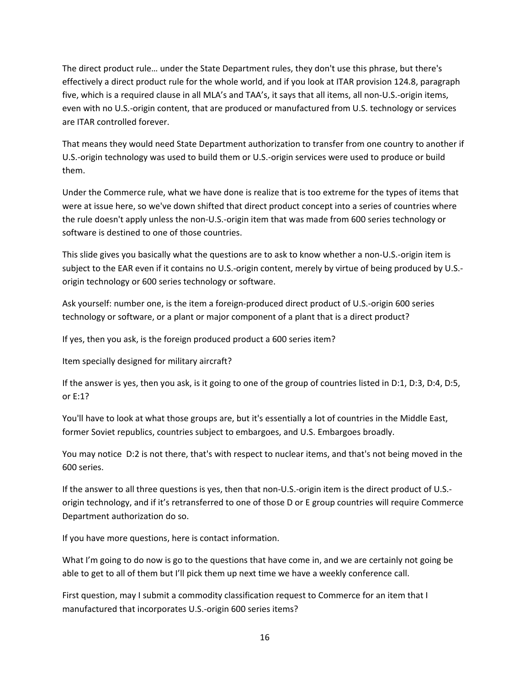The direct product rule… under the State Department rules, they don't use this phrase, but there's effectively a direct product rule for the whole world, and if you look at ITAR provision 124.8, paragraph five, which is a required clause in all MLA's and TAA's, it says that all items, all non‐U.S.‐origin items, even with no U.S.‐origin content, that are produced or manufactured from U.S. technology or services are ITAR controlled forever.

That means they would need State Department authorization to transfer from one country to another if U.S.‐origin technology was used to build them or U.S.‐origin services were used to produce or build them.

Under the Commerce rule, what we have done is realize that is too extreme for the types of items that were at issue here, so we've down shifted that direct product concept into a series of countries where the rule doesn't apply unless the non‐U.S.‐origin item that was made from 600 series technology or software is destined to one of those countries.

This slide gives you basically what the questions are to ask to know whether a non-U.S.-origin item is subject to the EAR even if it contains no U.S.-origin content, merely by virtue of being produced by U.S.origin technology or 600 series technology or software.

Ask yourself: number one, is the item a foreign‐produced direct product of U.S.‐origin 600 series technology or software, or a plant or major component of a plant that is a direct product?

If yes, then you ask, is the foreign produced product a 600 series item?

Item specially designed for military aircraft?

If the answer is yes, then you ask, is it going to one of the group of countries listed in D:1, D:3, D:4, D:5, or E:1?

You'll have to look at what those groups are, but it's essentially a lot of countries in the Middle East, former Soviet republics, countries subject to embargoes, and U.S. Embargoes broadly.

You may notice D:2 is not there, that's with respect to nuclear items, and that's not being moved in the 600 series.

If the answer to all three questions is yes, then that non‐U.S.‐origin item is the direct product of U.S.‐ origin technology, and if it's retransferred to one of those D or E group countries will require Commerce Department authorization do so.

If you have more questions, here is contact information.

What I'm going to do now is go to the questions that have come in, and we are certainly not going be able to get to all of them but I'll pick them up next time we have a weekly conference call.

First question, may I submit a commodity classification request to Commerce for an item that I manufactured that incorporates U.S.‐origin 600 series items?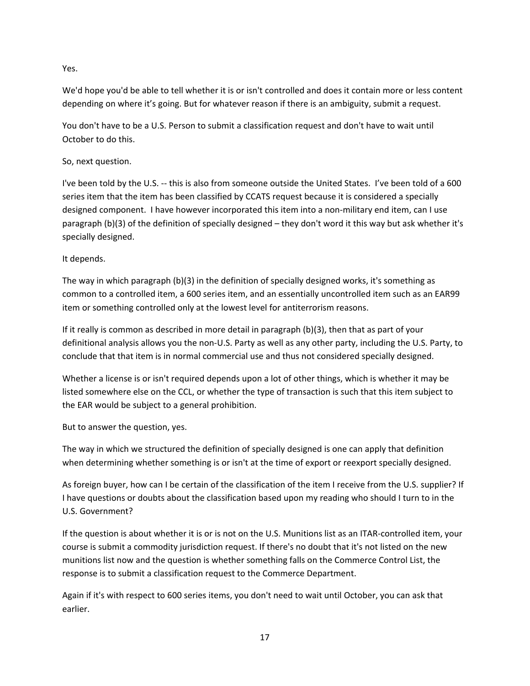Yes.

We'd hope you'd be able to tell whether it is or isn't controlled and does it contain more or less content depending on where it's going. But for whatever reason if there is an ambiguity, submit a request.

You don't have to be a U.S. Person to submit a classification request and don't have to wait until October to do this.

So, next question.

I've been told by the U.S. ‐‐ this is also from someone outside the United States. I've been told of a 600 series item that the item has been classified by CCATS request because it is considered a specially designed component. I have however incorporated this item into a non-military end item, can I use paragraph (b)(3) of the definition of specially designed – they don't word it this way but ask whether it's specially designed.

It depends.

The way in which paragraph (b)(3) in the definition of specially designed works, it's something as common to a controlled item, a 600 series item, and an essentially uncontrolled item such as an EAR99 item or something controlled only at the lowest level for antiterrorism reasons.

If it really is common as described in more detail in paragraph (b)(3), then that as part of your definitional analysis allows you the non‐U.S. Party as well as any other party, including the U.S. Party, to conclude that that item is in normal commercial use and thus not considered specially designed.

Whether a license is or isn't required depends upon a lot of other things, which is whether it may be listed somewhere else on the CCL, or whether the type of transaction is such that this item subject to the EAR would be subject to a general prohibition.

But to answer the question, yes.

The way in which we structured the definition of specially designed is one can apply that definition when determining whether something is or isn't at the time of export or reexport specially designed.

As foreign buyer, how can I be certain of the classification of the item I receive from the U.S. supplier? If I have questions or doubts about the classification based upon my reading who should I turn to in the U.S. Government?

If the question is about whether it is or is not on the U.S. Munitions list as an ITAR‐controlled item, your course is submit a commodity jurisdiction request. If there's no doubt that it's not listed on the new munitions list now and the question is whether something falls on the Commerce Control List, the response is to submit a classification request to the Commerce Department.

Again if it's with respect to 600 series items, you don't need to wait until October, you can ask that earlier.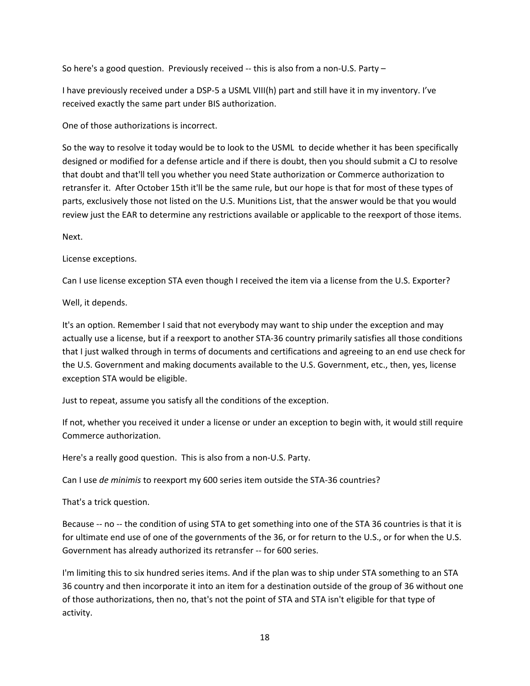So here's a good question. Previously received  $-$  this is also from a non-U.S. Party  $-$ 

I have previously received under a DSP‐5 a USML VIII(h) part and still have it in my inventory. I've received exactly the same part under BIS authorization.

One of those authorizations is incorrect.

So the way to resolve it today would be to look to the USML to decide whether it has been specifically designed or modified for a defense article and if there is doubt, then you should submit a CJ to resolve that doubt and that'll tell you whether you need State authorization or Commerce authorization to retransfer it. After October 15th it'll be the same rule, but our hope is that for most of these types of parts, exclusively those not listed on the U.S. Munitions List, that the answer would be that you would review just the EAR to determine any restrictions available or applicable to the reexport of those items.

Next.

License exceptions.

Can I use license exception STA even though I received the item via a license from the U.S. Exporter?

Well, it depends.

It's an option. Remember I said that not everybody may want to ship under the exception and may actually use a license, but if a reexport to another STA‐36 country primarily satisfies all those conditions that I just walked through in terms of documents and certifications and agreeing to an end use check for the U.S. Government and making documents available to the U.S. Government, etc., then, yes, license exception STA would be eligible.

Just to repeat, assume you satisfy all the conditions of the exception.

If not, whether you received it under a license or under an exception to begin with, it would still require Commerce authorization.

Here's a really good question. This is also from a non‐U.S. Party.

Can I use *de minimis* to reexport my 600 series item outside the STA‐36 countries?

That's a trick question.

Because -- no -- the condition of using STA to get something into one of the STA 36 countries is that it is for ultimate end use of one of the governments of the 36, or for return to the U.S., or for when the U.S. Government has already authorized its retransfer ‐‐ for 600 series.

I'm limiting this to six hundred series items. And if the plan was to ship under STA something to an STA 36 country and then incorporate it into an item for a destination outside of the group of 36 without one of those authorizations, then no, that's not the point of STA and STA isn't eligible for that type of activity.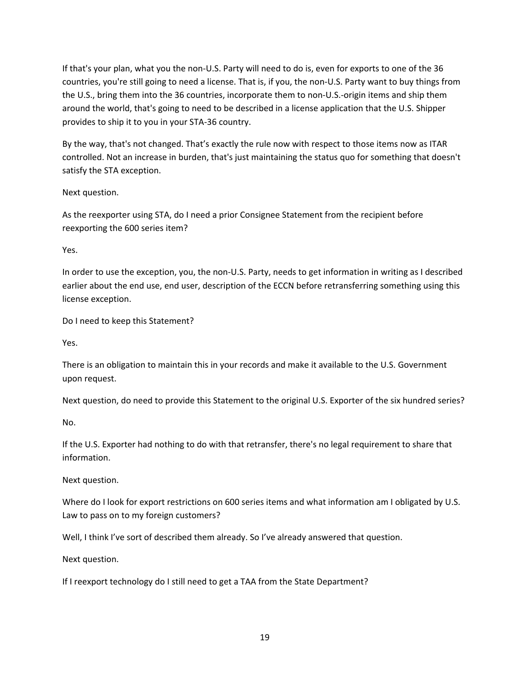If that's your plan, what you the non‐U.S. Party will need to do is, even for exports to one of the 36 countries, you're still going to need a license. That is, if you, the non‐U.S. Party want to buy things from the U.S., bring them into the 36 countries, incorporate them to non‐U.S.‐origin items and ship them around the world, that's going to need to be described in a license application that the U.S. Shipper provides to ship it to you in your STA‐36 country.

By the way, that's not changed. That's exactly the rule now with respect to those items now as ITAR controlled. Not an increase in burden, that's just maintaining the status quo for something that doesn't satisfy the STA exception.

Next question.

As the reexporter using STA, do I need a prior Consignee Statement from the recipient before reexporting the 600 series item?

Yes.

In order to use the exception, you, the non‐U.S. Party, needs to get information in writing as I described earlier about the end use, end user, description of the ECCN before retransferring something using this license exception.

Do I need to keep this Statement?

Yes.

There is an obligation to maintain this in your records and make it available to the U.S. Government upon request.

Next question, do need to provide this Statement to the original U.S. Exporter of the six hundred series?

No.

If the U.S. Exporter had nothing to do with that retransfer, there's no legal requirement to share that information.

Next question.

Where do I look for export restrictions on 600 series items and what information am I obligated by U.S. Law to pass on to my foreign customers?

Well, I think I've sort of described them already. So I've already answered that question.

Next question.

If I reexport technology do I still need to get a TAA from the State Department?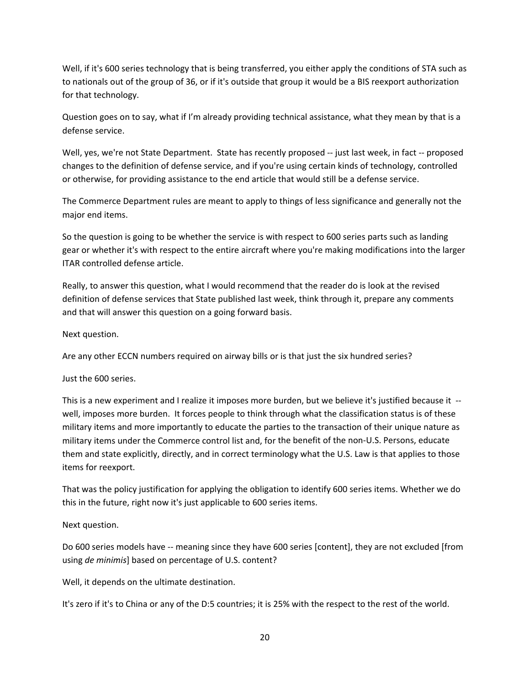Well, if it's 600 series technology that is being transferred, you either apply the conditions of STA such as to nationals out of the group of 36, or if it's outside that group it would be a BIS reexport authorization for that technology.

Question goes on to say, what if I'm already providing technical assistance, what they mean by that is a defense service.

Well, yes, we're not State Department. State has recently proposed -- just last week, in fact -- proposed changes to the definition of defense service, and if you're using certain kinds of technology, controlled or otherwise, for providing assistance to the end article that would still be a defense service.

The Commerce Department rules are meant to apply to things of less significance and generally not the major end items.

So the question is going to be whether the service is with respect to 600 series parts such as landing gear or whether it's with respect to the entire aircraft where you're making modifications into the larger ITAR controlled defense article.

Really, to answer this question, what I would recommend that the reader do is look at the revised definition of defense services that State published last week, think through it, prepare any comments and that will answer this question on a going forward basis.

Next question.

Are any other ECCN numbers required on airway bills or is that just the six hundred series?

Just the 600 series.

This is a new experiment and I realize it imposes more burden, but we believe it's justified because it ‐‐ well, imposes more burden. It forces people to think through what the classification status is of these military items and more importantly to educate the parties to the transaction of their unique nature as military items under the Commerce control list and, for the benefit of the non‐U.S. Persons, educate them and state explicitly, directly, and in correct terminology what the U.S. Law is that applies to those items for reexport.

That was the policy justification for applying the obligation to identify 600 series items. Whether we do this in the future, right now it's just applicable to 600 series items.

# Next question.

Do 600 series models have -- meaning since they have 600 series [content], they are not excluded [from using *de minimis*] based on percentage of U.S. content?

Well, it depends on the ultimate destination.

It's zero if it's to China or any of the D:5 countries; it is 25% with the respect to the rest of the world.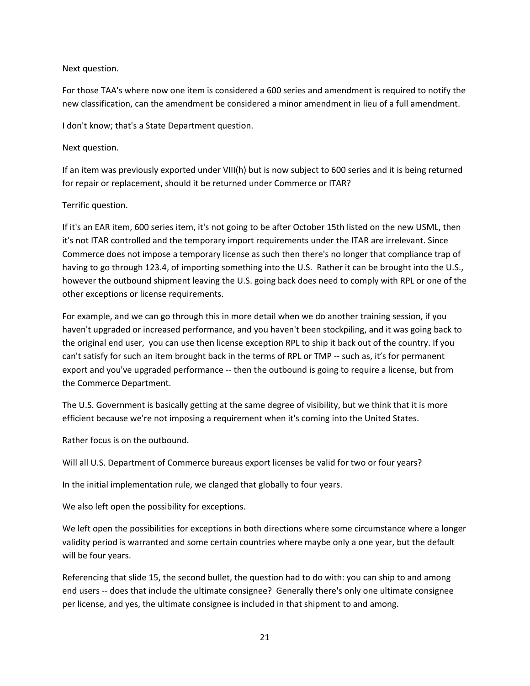## Next question.

For those TAA's where now one item is considered a 600 series and amendment is required to notify the new classification, can the amendment be considered a minor amendment in lieu of a full amendment.

I don't know; that's a State Department question.

### Next question.

If an item was previously exported under VIII(h) but is now subject to 600 series and it is being returned for repair or replacement, should it be returned under Commerce or ITAR?

# Terrific question.

If it's an EAR item, 600 series item, it's not going to be after October 15th listed on the new USML, then it's not ITAR controlled and the temporary import requirements under the ITAR are irrelevant. Since Commerce does not impose a temporary license as such then there's no longer that compliance trap of having to go through 123.4, of importing something into the U.S. Rather it can be brought into the U.S., however the outbound shipment leaving the U.S. going back does need to comply with RPL or one of the other exceptions or license requirements.

For example, and we can go through this in more detail when we do another training session, if you haven't upgraded or increased performance, and you haven't been stockpiling, and it was going back to the original end user, you can use then license exception RPL to ship it back out of the country. If you can't satisfy for such an item brought back in the terms of RPL or TMP -- such as, it's for permanent export and you've upgraded performance ‐‐ then the outbound is going to require a license, but from the Commerce Department.

The U.S. Government is basically getting at the same degree of visibility, but we think that it is more efficient because we're not imposing a requirement when it's coming into the United States.

Rather focus is on the outbound.

Will all U.S. Department of Commerce bureaus export licenses be valid for two or four years?

In the initial implementation rule, we clanged that globally to four years.

We also left open the possibility for exceptions.

We left open the possibilities for exceptions in both directions where some circumstance where a longer validity period is warranted and some certain countries where maybe only a one year, but the default will be four years.

Referencing that slide 15, the second bullet, the question had to do with: you can ship to and among end users -- does that include the ultimate consignee? Generally there's only one ultimate consignee per license, and yes, the ultimate consignee is included in that shipment to and among.